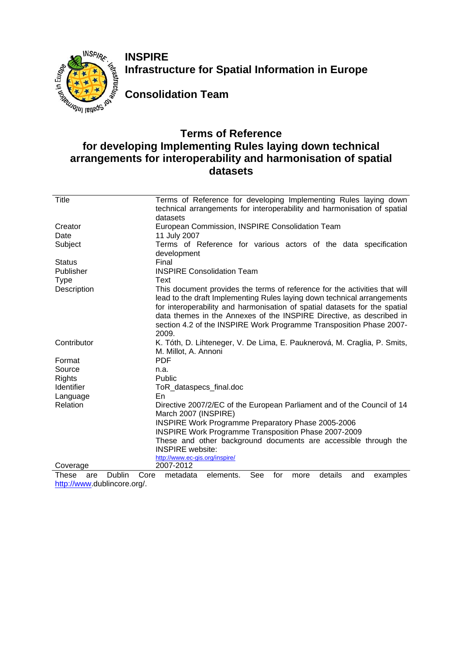

**INSPIRE Infrastructure for Spatial Information in Europe** 

**Consolidation Team** 

## **Terms of Reference for developing Implementing Rules laying down technical arrangements for interoperability and harmonisation of spatial datasets**

| Title         |        | Terms of Reference for developing Implementing Rules laying down<br>technical arrangements for interoperability and harmonisation of spatial |
|---------------|--------|----------------------------------------------------------------------------------------------------------------------------------------------|
|               |        | datasets                                                                                                                                     |
| Creator       |        | European Commission, INSPIRE Consolidation Team                                                                                              |
| Date          |        | 11 July 2007                                                                                                                                 |
| Subject       |        | Terms of Reference for various actors of the data specification                                                                              |
|               |        | development                                                                                                                                  |
| <b>Status</b> |        | Final                                                                                                                                        |
| Publisher     |        | <b>INSPIRE Consolidation Team</b>                                                                                                            |
| <b>Type</b>   |        | Text                                                                                                                                         |
| Description   |        | This document provides the terms of reference for the activities that will                                                                   |
|               |        | lead to the draft Implementing Rules laying down technical arrangements                                                                      |
|               |        | for interoperability and harmonisation of spatial datasets for the spatial                                                                   |
|               |        | data themes in the Annexes of the INSPIRE Directive, as described in                                                                         |
|               |        | section 4.2 of the INSPIRE Work Programme Transposition Phase 2007-                                                                          |
|               |        | 2009.                                                                                                                                        |
| Contributor   |        | K. Tóth, D. Lihteneger, V. De Lima, E. Pauknerová, M. Craglia, P. Smits,                                                                     |
|               |        | M. Millot, A. Annoni                                                                                                                         |
| Format        |        | <b>PDF</b>                                                                                                                                   |
| Source        |        | n.a.                                                                                                                                         |
| <b>Rights</b> |        | Public                                                                                                                                       |
| Identifier    |        | ToR_dataspecs_final.doc                                                                                                                      |
| Language      |        | En                                                                                                                                           |
| Relation      |        | Directive 2007/2/EC of the European Parliament and of the Council of 14                                                                      |
|               |        | March 2007 (INSPIRE)                                                                                                                         |
|               |        | INSPIRE Work Programme Preparatory Phase 2005-2006                                                                                           |
|               |        | INSPIRE Work Programme Transposition Phase 2007-2009                                                                                         |
|               |        | These and other background documents are accessible through the                                                                              |
|               |        | <b>INSPIRE</b> website:                                                                                                                      |
|               |        | http://www.ec-gis.org/inspire/                                                                                                               |
| Coverage      |        | 2007-2012                                                                                                                                    |
| These<br>are  | Dublin | See<br>details<br>and<br>examples<br>Core<br>metadata<br>elements.<br>for<br>more                                                            |

[http://www.](http://www/)dublincore.org/.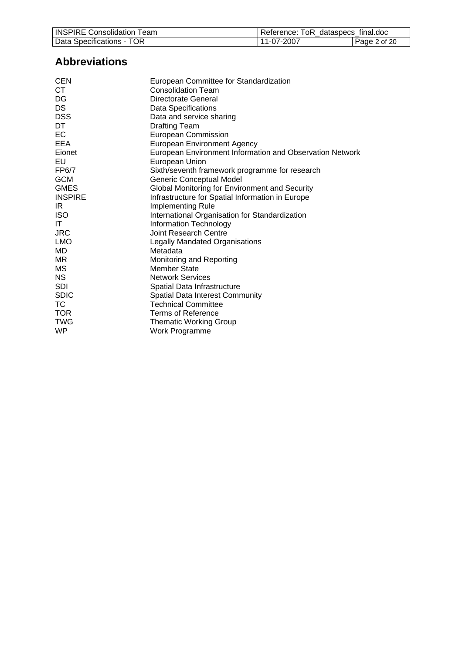| <b>INSPIRE Consolidation Team</b> | Reference: ToR dataspecs final.doc |              |
|-----------------------------------|------------------------------------|--------------|
| Data Specifications - TOR         | 11-07-2007                         | Page 2 of 20 |

# **Abbreviations**

| <b>CEN</b>     | European Committee for Standardization                   |
|----------------|----------------------------------------------------------|
| CT.            | <b>Consolidation Team</b>                                |
| DG             | Directorate General                                      |
| DS             | Data Specifications                                      |
| <b>DSS</b>     | Data and service sharing                                 |
| DT             | <b>Drafting Team</b>                                     |
| EC             | <b>European Commission</b>                               |
| EEA            | <b>European Environment Agency</b>                       |
| Eionet         | European Environment Information and Observation Network |
| EU             | European Union                                           |
| FP6/7          | Sixth/seventh framework programme for research           |
| <b>GCM</b>     | Generic Conceptual Model                                 |
| <b>GMES</b>    | Global Monitoring for Environment and Security           |
| <b>INSPIRE</b> | Infrastructure for Spatial Information in Europe         |
| IRI            | Implementing Rule                                        |
| <b>ISO</b>     | International Organisation for Standardization           |
| ΙT             | Information Technology                                   |
| <b>JRC</b>     | <b>Joint Research Centre</b>                             |
| <b>LMO</b>     | <b>Legally Mandated Organisations</b>                    |
| MD             | Metadata                                                 |
| MR.            | Monitoring and Reporting                                 |
| МS             | <b>Member State</b>                                      |
| <b>NS</b>      | <b>Network Services</b>                                  |
| <b>SDI</b>     | Spatial Data Infrastructure                              |
| <b>SDIC</b>    | <b>Spatial Data Interest Community</b>                   |
| ТC             | <b>Technical Committee</b>                               |
| <b>TOR</b>     | Terms of Reference                                       |
| <b>TWG</b>     | <b>Thematic Working Group</b>                            |
| WP             | Work Programme                                           |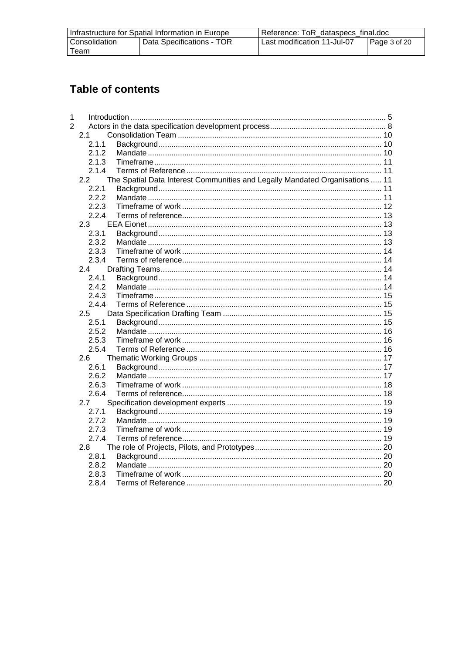| Infrastructure for Spatial Information in Europe |                           | Reference: ToR dataspecs final.doc |              |
|--------------------------------------------------|---------------------------|------------------------------------|--------------|
| Consolidation                                    | Data Specifications - TOR | Last modification 11-Jul-07        | Page 3 of 20 |
| Team                                             |                           |                                    |              |

# **Table of contents**

| 1              |       |                                                                              |  |
|----------------|-------|------------------------------------------------------------------------------|--|
| $\overline{2}$ |       |                                                                              |  |
|                | 2.1   |                                                                              |  |
|                | 2.1.1 |                                                                              |  |
|                | 2.1.2 |                                                                              |  |
|                | 2.1.3 |                                                                              |  |
|                | 2.1.4 |                                                                              |  |
|                | 2.2   | The Spatial Data Interest Communities and Legally Mandated Organisations  11 |  |
|                | 2.2.1 |                                                                              |  |
|                | 2.2.2 |                                                                              |  |
|                | 2.2.3 |                                                                              |  |
|                | 2.2.4 |                                                                              |  |
|                | 2.3   |                                                                              |  |
|                | 2.3.1 |                                                                              |  |
|                | 2.3.2 |                                                                              |  |
|                | 2.3.3 |                                                                              |  |
|                | 2.3.4 |                                                                              |  |
|                | 2.4   |                                                                              |  |
|                | 2.4.1 |                                                                              |  |
|                | 2.4.2 |                                                                              |  |
|                | 243   |                                                                              |  |
|                | 2.4.4 |                                                                              |  |
|                | 2.5   |                                                                              |  |
|                | 2.5.1 |                                                                              |  |
|                | 2.5.2 |                                                                              |  |
|                | 2.5.3 |                                                                              |  |
|                | 2.5.4 |                                                                              |  |
|                | 2.6   |                                                                              |  |
|                | 2.6.1 |                                                                              |  |
|                | 2.6.2 |                                                                              |  |
|                | 2.6.3 |                                                                              |  |
|                | 2.6.4 |                                                                              |  |
|                | 2.7   |                                                                              |  |
|                | 2.7.1 |                                                                              |  |
|                | 2.7.2 |                                                                              |  |
|                | 2.7.3 |                                                                              |  |
|                | 2.7.4 |                                                                              |  |
|                | 2.8   |                                                                              |  |
|                | 2.8.1 |                                                                              |  |
|                | 2.8.2 |                                                                              |  |
|                | 2.8.3 |                                                                              |  |
|                | 2.8.4 |                                                                              |  |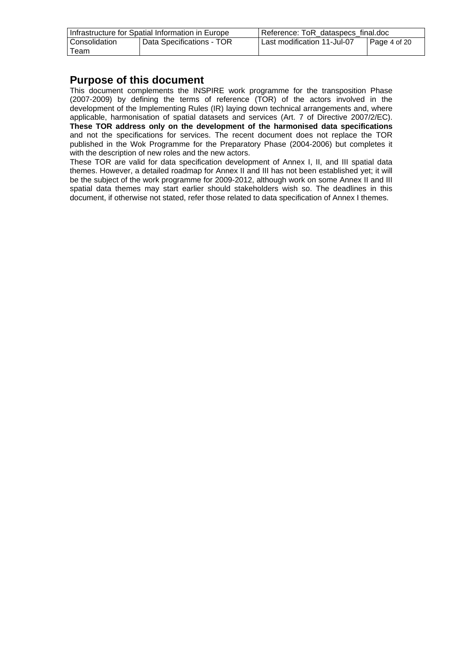| Infrastructure for Spatial Information in Europe |                           | Reference: ToR dataspecs final.doc |                      |
|--------------------------------------------------|---------------------------|------------------------------------|----------------------|
| Consolidation                                    | Data Specifications - TOR | Last modification 11-Jul-07        | $\vert$ Page 4 of 20 |
| $\tau$ eam                                       |                           |                                    |                      |

#### **Purpose of this document**

This document complements the INSPIRE work programme for the transposition Phase (2007-2009) by defining the terms of reference (TOR) of the actors involved in the development of the Implementing Rules (IR) laying down technical arrangements and, where applicable, harmonisation of spatial datasets and services (Art. 7 of Directive 2007/2/EC). **These TOR address only on the development of the harmonised data specifications** and not the specifications for services. The recent document does not replace the TOR published in the Wok Programme for the Preparatory Phase (2004-2006) but completes it with the description of new roles and the new actors.

These TOR are valid for data specification development of Annex I, II, and III spatial data themes. However, a detailed roadmap for Annex II and III has not been established yet; it will be the subject of the work programme for 2009-2012, although work on some Annex II and III spatial data themes may start earlier should stakeholders wish so. The deadlines in this document, if otherwise not stated, refer those related to data specification of Annex I themes.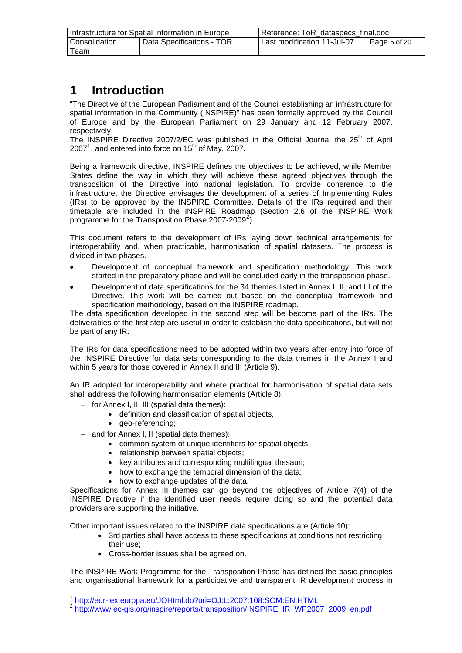<span id="page-4-0"></span>

| Infrastructure for Spatial Information in Europe |                           | Reference: ToR dataspecs final.doc          |  |
|--------------------------------------------------|---------------------------|---------------------------------------------|--|
| Consolidation                                    | Data Specifications - TOR | Last modification 11-Jul-07<br>Page 5 of 20 |  |
| Team                                             |                           |                                             |  |

# **1 Introduction**

"The Directive of the European Parliament and of the Council establishing an infrastructure for spatial information in the Community (INSPIRE)" has been formally approved by the Council of Europe and by the European Parliament on 29 January and 12 February 2007, respectively.

The INSPIRE Directive 2007/2/EC was published in the Official Journal the  $25<sup>th</sup>$  of April 2007<sup>[1](#page-4-0)</sup>, and entered into force on 15<sup>th</sup> of May, 2007.

Being a framework directive, INSPIRE defines the objectives to be achieved, while Member States define the way in which they will achieve these agreed objectives through the transposition of the Directive into national legislation. To provide coherence to the infrastructure, the Directive envisages the development of a series of Implementing Rules (IRs) to be approved by the INSPIRE Committee. Details of the IRs required and their timetable are included in the INSPIRE Roadmap (Section 2.6 of the INSPIRE Work programme for the Transposition Phase [2](#page-4-0)007-2009<sup>2</sup>).

This document refers to the development of IRs laying down technical arrangements for interoperability and, when practicable, harmonisation of spatial datasets. The process is divided in two phases.

- Development of conceptual framework and specification methodology. This work started in the preparatory phase and will be concluded early in the transposition phase.
- Development of data specifications for the 34 themes listed in Annex I, II, and III of the Directive. This work will be carried out based on the conceptual framework and specification methodology, based on the INSPIRE roadmap.

The data specification developed in the second step will be become part of the IRs. The deliverables of the first step are useful in order to establish the data specifications, but will not be part of any IR.

The IRs for data specifications need to be adopted within two years after entry into force of the INSPIRE Directive for data sets corresponding to the data themes in the Annex I and within 5 years for those covered in Annex II and III (Article 9).

An IR adopted for interoperability and where practical for harmonisation of spatial data sets shall address the following harmonisation elements (Article 8):

- for Annex I, II, III (spatial data themes):
	- definition and classification of spatial objects,
	- geo-referencing;

l

- and for Annex I, II (spatial data themes):
	- common system of unique identifiers for spatial objects;
	- relationship between spatial objects;
	- key attributes and corresponding multilingual thesauri;
	- how to exchange the temporal dimension of the data;
	- how to exchange updates of the data.

Specifications for Annex III themes can go beyond the objectives of Article 7(4) of the INSPIRE Directive if the identified user needs require doing so and the potential data providers are supporting the initiative.

Other important issues related to the INSPIRE data specifications are (Article 10):

- 3rd parties shall have access to these specifications at conditions not restricting their use;
- Cross-border issues shall be agreed on.

The INSPIRE Work Programme for the Transposition Phase has defined the basic principles and organisational framework for a participative and transparent IR development process in

<sup>1</sup> <http://eur-lex.europa.eu/JOHtml.do?uri=OJ:L:2007:108:SOM:EN:HTML>

<sup>&</sup>lt;sup>2</sup> [http://www.ec-gis.org/inspire/reports/transposition/INSPIRE\\_IR\\_WP2007\\_2009\\_en.pdf](http://www.ec-gis.org/inspire/reports/transposition/INSPIRE_IR_WP2007_2009_en.pdf)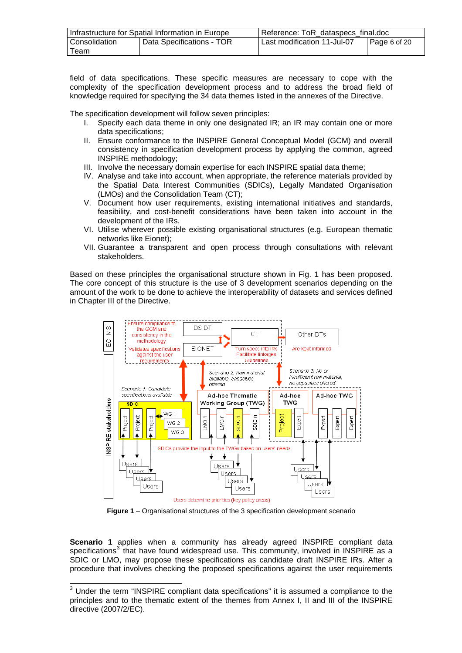<span id="page-5-0"></span>

| Infrastructure for Spatial Information in Europe |                             | Reference: ToR dataspecs final.doc                  |  |
|--------------------------------------------------|-----------------------------|-----------------------------------------------------|--|
| Consolidation                                    | I Data Specifications - TOR | Last modification 11-Jul-07<br>$\vert$ Page 6 of 20 |  |
| Team                                             |                             |                                                     |  |

field of data specifications. These specific measures are necessary to cope with the complexity of the specification development process and to address the broad field of knowledge required for specifying the 34 data themes listed in the annexes of the Directive.

The specification development will follow seven principles:

- I. Specify each data theme in only one designated IR; an IR may contain one or more data specifications;
- II. Ensure conformance to the INSPIRE General Conceptual Model (GCM) and overall consistency in specification development process by applying the common, agreed INSPIRE methodology;
- III. Involve the necessary domain expertise for each INSPIRE spatial data theme;
- IV. Analyse and take into account, when appropriate, the reference materials provided by the Spatial Data Interest Communities (SDICs), Legally Mandated Organisation (LMOs) and the Consolidation Team (CT);
- V. Document how user requirements, existing international initiatives and standards, feasibility, and cost-benefit considerations have been taken into account in the development of the IRs.
- VI. Utilise wherever possible existing organisational structures (e.g. European thematic networks like Eionet);
- VII. Guarantee a transparent and open process through consultations with relevant stakeholders.

Based on these principles the organisational structure shown in Fig. 1 has been proposed. The core concept of this structure is the use of 3 development scenarios depending on the amount of the work to be done to achieve the interoperability of datasets and services defined in Chapter III of the Directive.



**Figure 1** – Organisational structures of the 3 specification development scenario

**Scenario 1** applies when a community has already agreed INSPIRE compliant data specifications<sup>[3](#page-5-0)</sup> that have found widespread use. This community, involved in INSPIRE as a SDIC or LMO, may propose these specifications as candidate draft INSPIRE IRs. After a procedure that involves checking the proposed specifications against the user requirements

l

 $3$  Under the term "INSPIRE compliant data specifications" it is assumed a compliance to the principles and to the thematic extent of the themes from Annex I, II and III of the INSPIRE directive (2007/2/EC).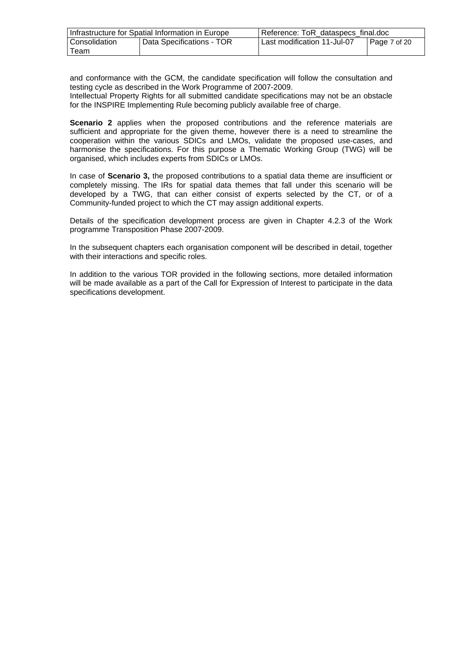| Infrastructure for Spatial Information in Europe |                           | Reference: ToR_dataspecs_final.doc |              |
|--------------------------------------------------|---------------------------|------------------------------------|--------------|
| Consolidation                                    | Data Specifications - TOR | Last modification 11-Jul-07        | Page 7 of 20 |
| Team                                             |                           |                                    |              |

and conformance with the GCM, the candidate specification will follow the consultation and testing cycle as described in the Work Programme of 2007-2009.

Intellectual Property Rights for all submitted candidate specifications may not be an obstacle for the INSPIRE Implementing Rule becoming publicly available free of charge.

**Scenario 2** applies when the proposed contributions and the reference materials are sufficient and appropriate for the given theme, however there is a need to streamline the cooperation within the various SDICs and LMOs, validate the proposed use-cases, and harmonise the specifications. For this purpose a Thematic Working Group (TWG) will be organised, which includes experts from SDICs or LMOs.

In case of **Scenario 3,** the proposed contributions to a spatial data theme are insufficient or completely missing. The IRs for spatial data themes that fall under this scenario will be developed by a TWG, that can either consist of experts selected by the CT, or of a Community-funded project to which the CT may assign additional experts.

Details of the specification development process are given in Chapter 4.2.3 of the Work programme Transposition Phase 2007-2009.

In the subsequent chapters each organisation component will be described in detail, together with their interactions and specific roles.

In addition to the various TOR provided in the following sections, more detailed information will be made available as a part of the Call for Expression of Interest to participate in the data specifications development.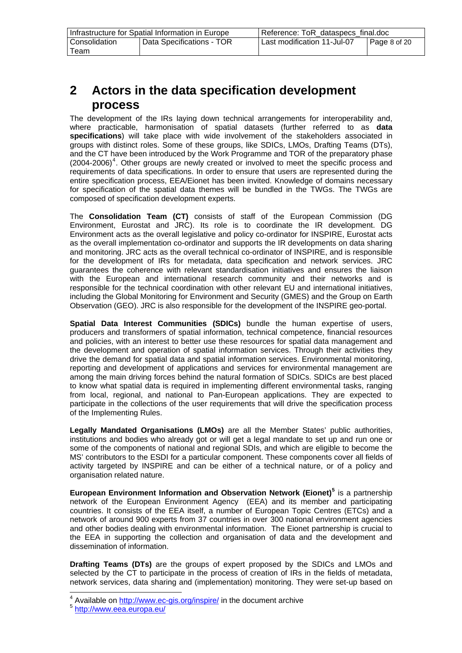<span id="page-7-0"></span>

| Infrastructure for Spatial Information in Europe |                           | Reference: ToR dataspecs final.doc                  |  |
|--------------------------------------------------|---------------------------|-----------------------------------------------------|--|
| Consolidation                                    | Data Specifications - TOR | Last modification 11-Jul-07<br>$\vert$ Page 8 of 20 |  |
| Team                                             |                           |                                                     |  |

# **2 Actors in the data specification development process**

The development of the IRs laying down technical arrangements for interoperability and, where practicable, harmonisation of spatial datasets (further referred to as **data specifications**) will take place with wide involvement of the stakeholders associated in groups with distinct roles. Some of these groups, like SDICs, LMOs, Drafting Teams (DTs), and the CT have been introduced by the Work Programme and TOR of the preparatory phase  $(2004-2006)^4$  $(2004-2006)^4$  $(2004-2006)^4$ . Other groups are newly created or involved to meet the specific process and requirements of data specifications. In order to ensure that users are represented during the entire specification process, EEA/Eionet has been invited. Knowledge of domains necessary for specification of the spatial data themes will be bundled in the TWGs. The TWGs are composed of specification development experts.

The **Consolidation Team (CT)** consists of staff of the European Commission (DG Environment, Eurostat and JRC). Its role is to coordinate the IR development. DG Environment acts as the overall legislative and policy co-ordinator for INSPIRE, Eurostat acts as the overall implementation co-ordinator and supports the IR developments on data sharing and monitoring. JRC acts as the overall technical co-ordinator of INSPIRE, and is responsible for the development of IRs for metadata, data specification and network services. JRC guarantees the coherence with relevant standardisation initiatives and ensures the liaison with the European and international research community and their networks and is responsible for the technical coordination with other relevant EU and international initiatives, including the Global Monitoring for Environment and Security (GMES) and the Group on Earth Observation (GEO). JRC is also responsible for the development of the INSPIRE geo-portal.

**Spatial Data Interest Communities (SDICs)** bundle the human expertise of users, producers and transformers of spatial information, technical competence, financial resources and policies, with an interest to better use these resources for spatial data management and the development and operation of spatial information services. Through their activities they drive the demand for spatial data and spatial information services. Environmental monitoring, reporting and development of applications and services for environmental management are among the main driving forces behind the natural formation of SDICs. SDICs are best placed to know what spatial data is required in implementing different environmental tasks, ranging from local, regional, and national to Pan-European applications. They are expected to participate in the collections of the user requirements that will drive the specification process of the Implementing Rules.

**Legally Mandated Organisations (LMOs)** are all the Member States' public authorities, institutions and bodies who already got or will get a legal mandate to set up and run one or some of the components of national and regional SDIs, and which are eligible to become the MS' contributors to the ESDI for a particular component. These components cover all fields of activity targeted by INSPIRE and can be either of a technical nature, or of a policy and organisation related nature.

**European Environment Information and Observation Network (Eionet)[5](#page-7-0)** is a partnership network of the European Environment Agency (EEA) and its member and participating countries. It consists of the EEA itself, a number of European Topic Centres (ETCs) and a network of around 900 experts from 37 countries in over 300 national environment agencies and other bodies dealing with environmental information. The Eionet partnership is crucial to the EEA in supporting the collection and organisation of data and the development and dissemination of information.

**Drafting Teams (DTs)** are the groups of expert proposed by the SDICs and LMOs and selected by the CT to participate in the process of creation of IRs in the fields of metadata, network services, data sharing and (implementation) monitoring. They were set-up based on

<sup>&</sup>lt;sup>4</sup> Available on <http://www.ec-gis.org/inspire/> in the document archive

<sup>5</sup> <http://www.eea.europa.eu/>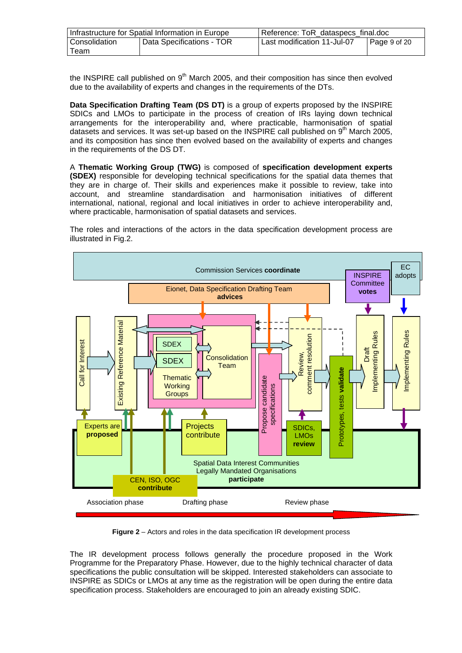| Infrastructure for Spatial Information in Europe |                           | Reference: ToR dataspecs final.doc |              |
|--------------------------------------------------|---------------------------|------------------------------------|--------------|
| Consolidation                                    | Data Specifications - TOR | Last modification 11-Jul-07        | Page 9 of 20 |
| Team                                             |                           |                                    |              |

the INSPIRE call published on  $9<sup>th</sup>$  March 2005, and their composition has since then evolved due to the availability of experts and changes in the requirements of the DTs.

**Data Specification Drafting Team (DS DT)** is a group of experts proposed by the INSPIRE SDICs and LMOs to participate in the process of creation of IRs laying down technical arrangements for the interoperability and, where practicable, harmonisation of spatial datasets and services. It was set-up based on the INSPIRE call published on  $9<sup>th</sup>$  March 2005, and its composition has since then evolved based on the availability of experts and changes in the requirements of the DS DT.

A **Thematic Working Group (TWG)** is composed of **specification development experts (SDEX)** responsible for developing technical specifications for the spatial data themes that they are in charge of. Their skills and experiences make it possible to review, take into account, and streamline standardisation and harmonisation initiatives of different international, national, regional and local initiatives in order to achieve interoperability and, where practicable, harmonisation of spatial datasets and services.

The roles and interactions of the actors in the data specification development process are illustrated in Fig.2.



**Figure 2** – Actors and roles in the data specification IR development process

The IR development process follows generally the procedure proposed in the Work Programme for the Preparatory Phase. However, due to the highly technical character of data specifications the public consultation will be skipped. Interested stakeholders can associate to INSPIRE as SDICs or LMOs at any time as the registration will be open during the entire data specification process. Stakeholders are encouraged to join an already existing SDIC.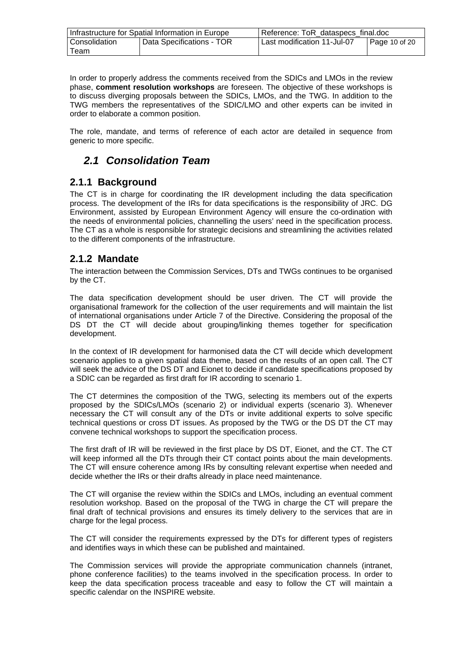<span id="page-9-0"></span>

| Infrastructure for Spatial Information in Europe |                           | Reference: ToR_dataspecs_final.doc |               |
|--------------------------------------------------|---------------------------|------------------------------------|---------------|
| Consolidation                                    | Data Specifications - TOR | Last modification 11-Jul-07        | Page 10 of 20 |
| Team                                             |                           |                                    |               |

In order to properly address the comments received from the SDICs and LMOs in the review phase, **comment resolution workshops** are foreseen. The objective of these workshops is to discuss diverging proposals between the SDICs, LMOs, and the TWG. In addition to the TWG members the representatives of the SDIC/LMO and other experts can be invited in order to elaborate a common position.

The role, mandate, and terms of reference of each actor are detailed in sequence from generic to more specific.

## *2.1 Consolidation Team*

#### **2.1.1 Background**

The CT is in charge for coordinating the IR development including the data specification process. The development of the IRs for data specifications is the responsibility of JRC. DG Environment, assisted by European Environment Agency will ensure the co-ordination with the needs of environmental policies, channelling the users' need in the specification process. The CT as a whole is responsible for strategic decisions and streamlining the activities related to the different components of the infrastructure.

#### **2.1.2 Mandate**

The interaction between the Commission Services, DTs and TWGs continues to be organised by the CT.

The data specification development should be user driven. The CT will provide the organisational framework for the collection of the user requirements and will maintain the list of international organisations under Article 7 of the Directive. Considering the proposal of the DS DT the CT will decide about grouping/linking themes together for specification development.

In the context of IR development for harmonised data the CT will decide which development scenario applies to a given spatial data theme, based on the results of an open call. The CT will seek the advice of the DS DT and Eionet to decide if candidate specifications proposed by a SDIC can be regarded as first draft for IR according to scenario 1.

The CT determines the composition of the TWG, selecting its members out of the experts proposed by the SDICs/LMOs (scenario 2) or individual experts (scenario 3). Whenever necessary the CT will consult any of the DTs or invite additional experts to solve specific technical questions or cross DT issues. As proposed by the TWG or the DS DT the CT may convene technical workshops to support the specification process.

The first draft of IR will be reviewed in the first place by DS DT, Eionet, and the CT. The CT will keep informed all the DTs through their CT contact points about the main developments. The CT will ensure coherence among IRs by consulting relevant expertise when needed and decide whether the IRs or their drafts already in place need maintenance.

The CT will organise the review within the SDICs and LMOs, including an eventual comment resolution workshop. Based on the proposal of the TWG in charge the CT will prepare the final draft of technical provisions and ensures its timely delivery to the services that are in charge for the legal process.

The CT will consider the requirements expressed by the DTs for different types of registers and identifies ways in which these can be published and maintained.

The Commission services will provide the appropriate communication channels (intranet, phone conference facilities) to the teams involved in the specification process. In order to keep the data specification process traceable and easy to follow the CT will maintain a specific calendar on the INSPIRE website.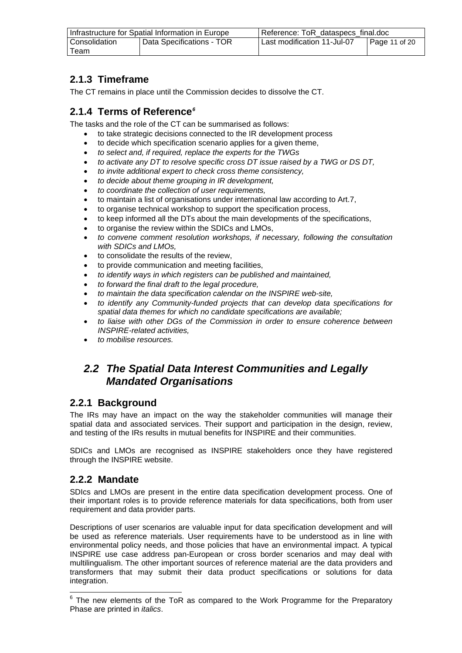<span id="page-10-0"></span>

| Infrastructure for Spatial Information in Europe |                           | Reference: ToR_dataspecs_final.doc                   |  |
|--------------------------------------------------|---------------------------|------------------------------------------------------|--|
| Consolidation                                    | Data Specifications - TOR | Last modification 11-Jul-07<br>$\vert$ Page 11 of 20 |  |
| Team                                             |                           |                                                      |  |

## **2.1.3 Timeframe**

The CT remains in place until the Commission decides to dissolve the CT.

## **2.1.4 Terms of Reference***[6](#page-10-0)*

The tasks and the role of the CT can be summarised as follows:

- to take strategic decisions connected to the IR development process
- to decide which specification scenario applies for a given theme,
- *to select and, if required, replace the experts for the TWGs*
- *to activate any DT to resolve specific cross DT issue raised by a TWG or DS DT,*
- *to invite additional expert to check cross theme consistency,*
- *to decide about theme grouping in IR development,*
- *to coordinate the collection of user requirements,*
- to maintain a list of organisations under international law according to Art.7,
- to organise technical workshop to support the specification process,
- to keep informed all the DTs about the main developments of the specifications,
- to organise the review within the SDICs and LMOs,
- *to convene comment resolution workshops, if necessary, following the consultation with SDICs and LMOs,*
- to consolidate the results of the review,
- to provide communication and meeting facilities,
- *to identify ways in which registers can be published and maintained,*
- *to forward the final draft to the legal procedure,*
- *to maintain the data specification calendar on the INSPIRE web-site,*
- *to identify any Community-funded projects that can develop data specifications for spatial data themes for which no candidate specifications are available;*
- *to liaise with other DGs of the Commission in order to ensure coherence between INSPIRE-related activities,*
- *to mobilise resources.*

## *2.2 The Spatial Data Interest Communities and Legally Mandated Organisations*

### **2.2.1 Background**

The IRs may have an impact on the way the stakeholder communities will manage their spatial data and associated services. Their support and participation in the design, review, and testing of the IRs results in mutual benefits for INSPIRE and their communities.

SDICs and LMOs are recognised as INSPIRE stakeholders once they have registered through the INSPIRE website.

### **2.2.2 Mandate**

SDIcs and LMOs are present in the entire data specification development process. One of their important roles is to provide reference materials for data specifications, both from user requirement and data provider parts.

Descriptions of user scenarios are valuable input for data specification development and will be used as reference materials. User requirements have to be understood as in line with environmental policy needs, and those policies that have an environmental impact. A typical INSPIRE use case address pan-European or cross border scenarios and may deal with multilingualism. The other important sources of reference material are the data providers and transformers that may submit their data product specifications or solutions for data integration.

E The new elements of the ToR as compared to the Work Programme for the Preparatory Phase are printed in *italics*.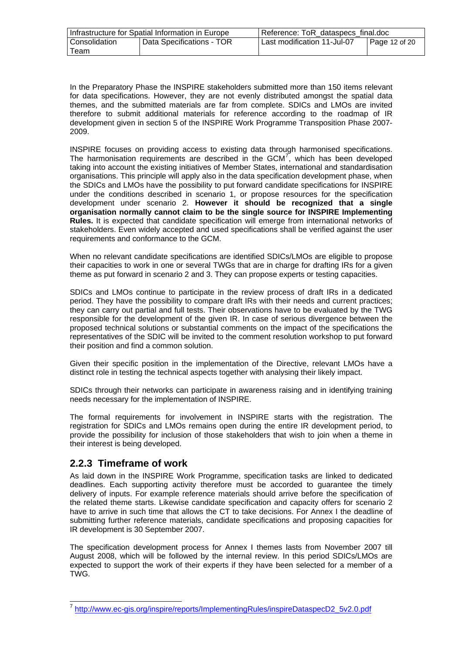<span id="page-11-0"></span>

| Infrastructure for Spatial Information in Europe |                           | Reference: ToR dataspecs final.doc              |  |
|--------------------------------------------------|---------------------------|-------------------------------------------------|--|
| Consolidation                                    | Data Specifications - TOR | Last modification 11-Jul-07<br>$P$ age 12 of 20 |  |
| Team                                             |                           |                                                 |  |

In the Preparatory Phase the INSPIRE stakeholders submitted more than 150 items relevant for data specifications. However, they are not evenly distributed amongst the spatial data themes, and the submitted materials are far from complete. SDICs and LMOs are invited therefore to submit additional materials for reference according to the roadmap of IR development given in section 5 of the INSPIRE Work Programme Transposition Phase 2007- 2009.

INSPIRE focuses on providing access to existing data through harmonised specifications. The harmonisation requirements are described in the GCM $^7$  $^7$ , which has been developed taking into account the existing initiatives of Member States, international and standardisation organisations. This principle will apply also in the data specification development phase, when the SDICs and LMOs have the possibility to put forward candidate specifications for INSPIRE under the conditions described in scenario 1, or propose resources for the specification development under scenario 2. **However it should be recognized that a single organisation normally cannot claim to be the single source for INSPIRE Implementing Rules.** It is expected that candidate specification will emerge from international networks of stakeholders. Even widely accepted and used specifications shall be verified against the user requirements and conformance to the GCM.

When no relevant candidate specifications are identified SDICs/LMOs are eligible to propose their capacities to work in one or several TWGs that are in charge for drafting IRs for a given theme as put forward in scenario 2 and 3. They can propose experts or testing capacities.

SDICs and LMOs continue to participate in the review process of draft IRs in a dedicated period. They have the possibility to compare draft IRs with their needs and current practices; they can carry out partial and full tests. Their observations have to be evaluated by the TWG responsible for the development of the given IR. In case of serious divergence between the proposed technical solutions or substantial comments on the impact of the specifications the representatives of the SDIC will be invited to the comment resolution workshop to put forward their position and find a common solution.

Given their specific position in the implementation of the Directive, relevant LMOs have a distinct role in testing the technical aspects together with analysing their likely impact.

SDICs through their networks can participate in awareness raising and in identifying training needs necessary for the implementation of INSPIRE.

The formal requirements for involvement in INSPIRE starts with the registration. The registration for SDICs and LMOs remains open during the entire IR development period, to provide the possibility for inclusion of those stakeholders that wish to join when a theme in their interest is being developed.

#### **2.2.3 Timeframe of work**

l

As laid down in the INSPIRE Work Programme, specification tasks are linked to dedicated deadlines. Each supporting activity therefore must be accorded to guarantee the timely delivery of inputs. For example reference materials should arrive before the specification of the related theme starts. Likewise candidate specification and capacity offers for scenario 2 have to arrive in such time that allows the CT to take decisions. For Annex I the deadline of submitting further reference materials, candidate specifications and proposing capacities for IR development is 30 September 2007.

The specification development process for Annex I themes lasts from November 2007 till August 2008, which will be followed by the internal review. In this period SDICs/LMOs are expected to support the work of their experts if they have been selected for a member of a TWG.

<sup>7</sup> [http://www.ec-gis.org/inspire/reports/ImplementingRules/inspireDataspecD2\\_5v2.0.pdf](http://www.ec-gis.org/inspire/reports/ImplementingRules/inspireDataspecD2_5v2.0.pdf)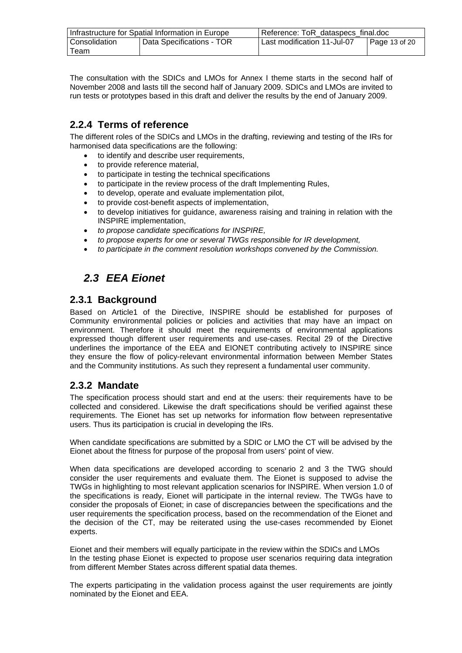<span id="page-12-0"></span>

| Infrastructure for Spatial Information in Europe |                           | Reference: ToR dataspecs final.doc           |  |
|--------------------------------------------------|---------------------------|----------------------------------------------|--|
| Consolidation                                    | Data Specifications - TOR | Last modification 11-Jul-07<br>Page 13 of 20 |  |
| Team                                             |                           |                                              |  |

The consultation with the SDICs and LMOs for Annex I theme starts in the second half of November 2008 and lasts till the second half of January 2009. SDICs and LMOs are invited to run tests or prototypes based in this draft and deliver the results by the end of January 2009.

### **2.2.4 Terms of reference**

The different roles of the SDICs and LMOs in the drafting, reviewing and testing of the IRs for harmonised data specifications are the following:

- to identify and describe user requirements,
- to provide reference material,
- to participate in testing the technical specifications
- to participate in the review process of the draft Implementing Rules,
- to develop, operate and evaluate implementation pilot,
- to provide cost-benefit aspects of implementation,
- to develop initiatives for guidance, awareness raising and training in relation with the INSPIRE implementation,
- *to propose candidate specifications for INSPIRE,*
- *to propose experts for one or several TWGs responsible for IR development,*
- *to participate in the comment resolution workshops convened by the Commission.*

# *2.3 EEA Eionet*

#### **2.3.1 Background**

Based on Article1 of the Directive, INSPIRE should be established for purposes of Community environmental policies or policies and activities that may have an impact on environment. Therefore it should meet the requirements of environmental applications expressed though different user requirements and use-cases. Recital 29 of the Directive underlines the importance of the EEA and EIONET contributing actively to INSPIRE since they ensure the flow of policy-relevant environmental information between Member States and the Community institutions. As such they represent a fundamental user community.

### **2.3.2 Mandate**

The specification process should start and end at the users: their requirements have to be collected and considered. Likewise the draft specifications should be verified against these requirements. The Eionet has set up networks for information flow between representative users. Thus its participation is crucial in developing the IRs.

When candidate specifications are submitted by a SDIC or LMO the CT will be advised by the Eionet about the fitness for purpose of the proposal from users' point of view.

When data specifications are developed according to scenario 2 and 3 the TWG should consider the user requirements and evaluate them. The Eionet is supposed to advise the TWGs in highlighting to most relevant application scenarios for INSPIRE. When version 1.0 of the specifications is ready, Eionet will participate in the internal review. The TWGs have to consider the proposals of Eionet; in case of discrepancies between the specifications and the user requirements the specification process, based on the recommendation of the Eionet and the decision of the CT, may be reiterated using the use-cases recommended by Eionet experts.

Eionet and their members will equally participate in the review within the SDICs and LMOs In the testing phase Eionet is expected to propose user scenarios requiring data integration from different Member States across different spatial data themes.

The experts participating in the validation process against the user requirements are jointly nominated by the Eionet and EEA.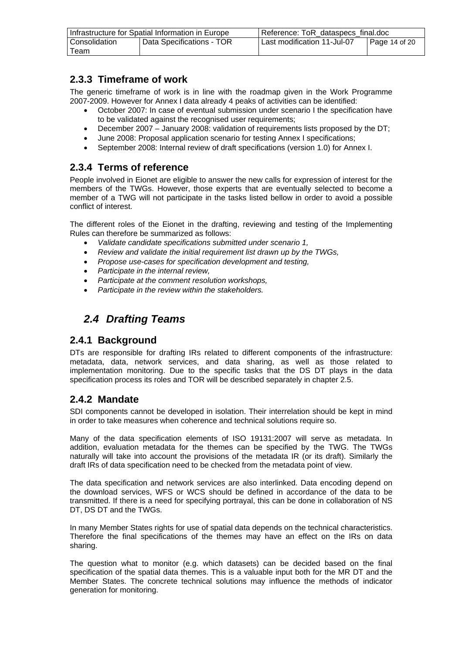<span id="page-13-0"></span>

| Infrastructure for Spatial Information in Europe |                           | Reference: ToR dataspecs final.doc                   |  |
|--------------------------------------------------|---------------------------|------------------------------------------------------|--|
| Consolidation                                    | Data Specifications - TOR | Last modification 11-Jul-07<br>$\vert$ Page 14 of 20 |  |
| Team                                             |                           |                                                      |  |

### **2.3.3 Timeframe of work**

The generic timeframe of work is in line with the roadmap given in the Work Programme 2007-2009. However for Annex I data already 4 peaks of activities can be identified:

- October 2007: In case of eventual submission under scenario I the specification have to be validated against the recognised user requirements;
- December 2007 January 2008: validation of requirements lists proposed by the DT;
- June 2008: Proposal application scenario for testing Annex I specifications;
- September 2008: Internal review of draft specifications (version 1.0) for Annex I.

#### **2.3.4 Terms of reference**

People involved in Eionet are eligible to answer the new calls for expression of interest for the members of the TWGs. However, those experts that are eventually selected to become a member of a TWG will not participate in the tasks listed bellow in order to avoid a possible conflict of interest.

The different roles of the Eionet in the drafting, reviewing and testing of the Implementing Rules can therefore be summarized as follows:

- *Validate candidate specifications submitted under scenario 1,*
- *Review and validate the initial requirement list drawn up by the TWGs,*
- *Propose use-cases for specification development and testing,*
- *Participate in the internal review,*
- *Participate at the comment resolution workshops,*
- *Participate in the review within the stakeholders.*

## *2.4 Drafting Teams*

#### **2.4.1 Background**

DTs are responsible for drafting IRs related to different components of the infrastructure: metadata, data, network services, and data sharing, as well as those related to implementation monitoring. Due to the specific tasks that the DS DT plays in the data specification process its roles and TOR will be described separately in chapter 2.5.

### **2.4.2 Mandate**

SDI components cannot be developed in isolation. Their interrelation should be kept in mind in order to take measures when coherence and technical solutions require so.

Many of the data specification elements of ISO 19131:2007 will serve as metadata. In addition, evaluation metadata for the themes can be specified by the TWG. The TWGs naturally will take into account the provisions of the metadata IR (or its draft). Similarly the draft IRs of data specification need to be checked from the metadata point of view.

The data specification and network services are also interlinked. Data encoding depend on the download services, WFS or WCS should be defined in accordance of the data to be transmitted. If there is a need for specifying portrayal, this can be done in collaboration of NS DT, DS DT and the TWGs.

In many Member States rights for use of spatial data depends on the technical characteristics. Therefore the final specifications of the themes may have an effect on the IRs on data sharing.

The question what to monitor (e.g. which datasets) can be decided based on the final specification of the spatial data themes. This is a valuable input both for the MR DT and the Member States. The concrete technical solutions may influence the methods of indicator generation for monitoring.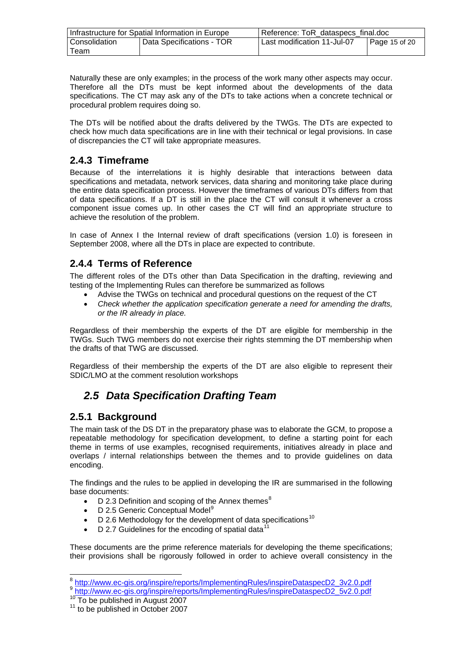<span id="page-14-0"></span>

| Infrastructure for Spatial Information in Europe |                           | Reference: ToR_dataspecs_final.doc                   |  |
|--------------------------------------------------|---------------------------|------------------------------------------------------|--|
| Consolidation                                    | Data Specifications - TOR | Last modification 11-Jul-07<br>$\vert$ Page 15 of 20 |  |
| Team                                             |                           |                                                      |  |

Naturally these are only examples; in the process of the work many other aspects may occur. Therefore all the DTs must be kept informed about the developments of the data specifications. The CT may ask any of the DTs to take actions when a concrete technical or procedural problem requires doing so.

The DTs will be notified about the drafts delivered by the TWGs. The DTs are expected to check how much data specifications are in line with their technical or legal provisions. In case of discrepancies the CT will take appropriate measures.

### **2.4.3 Timeframe**

Because of the interrelations it is highly desirable that interactions between data specifications and metadata, network services, data sharing and monitoring take place during the entire data specification process. However the timeframes of various DTs differs from that of data specifications. If a DT is still in the place the CT will consult it whenever a cross component issue comes up. In other cases the CT will find an appropriate structure to achieve the resolution of the problem.

In case of Annex I the Internal review of draft specifications (version 1.0) is foreseen in September 2008, where all the DTs in place are expected to contribute.

### **2.4.4 Terms of Reference**

The different roles of the DTs other than Data Specification in the drafting, reviewing and testing of the Implementing Rules can therefore be summarized as follows

- Advise the TWGs on technical and procedural questions on the request of the CT
- *Check whether the application specification generate a need for amending the drafts, or the IR already in place.*

Regardless of their membership the experts of the DT are eligible for membership in the TWGs. Such TWG members do not exercise their rights stemming the DT membership when the drafts of that TWG are discussed.

Regardless of their membership the experts of the DT are also eligible to represent their SDIC/LMO at the comment resolution workshops

# *2.5 Data Specification Drafting Team*

### **2.5.1 Background**

The main task of the DS DT in the preparatory phase was to elaborate the GCM, to propose a repeatable methodology for specification development, to define a starting point for each theme in terms of use examples, recognised requirements, initiatives already in place and overlaps / internal relationships between the themes and to provide guidelines on data encoding.

The findings and the rules to be applied in developing the IR are summarised in the following base documents:

- D 2.3 Definition and scoping of the Annex themes<sup>[8](#page-14-0)</sup>
- D 2.5 Generic Conceptual Model<sup>[9](#page-14-0)</sup>
- D 2.6 Methodology for the development of data specifications<sup>[10](#page-14-0)</sup>
- D 2.7 Guidelines for the encoding of spatial data $11$

These documents are the prime reference materials for developing the theme specifications; their provisions shall be rigorously followed in order to achieve overall consistency in the

 $\overline{a}$ 

<sup>&</sup>lt;sup>8</sup> [http://www.ec-gis.org/inspire/reports/ImplementingRules/inspireDataspecD2\\_3v2.0.pdf](http://www.ec-gis.org/inspire/reports/ImplementingRules/inspireDataspecD2_3v2.0.pdf)

<sup>9</sup> [http://www.ec-gis.org/inspire/reports/ImplementingRules/inspireDataspecD2\\_5v2.0.pdf](http://www.ec-gis.org/inspire/reports/ImplementingRules/inspireDataspecD2_5v2.0.pdf)

<sup>10</sup> To be published in August 2007<br><sup>11</sup> to be published in October 2007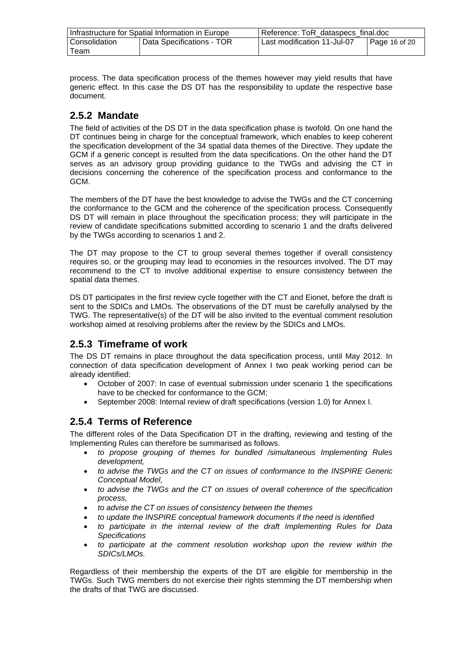<span id="page-15-0"></span>

| Infrastructure for Spatial Information in Europe |                           | Reference: ToR_dataspecs_final.doc                   |  |
|--------------------------------------------------|---------------------------|------------------------------------------------------|--|
| Consolidation                                    | Data Specifications - TOR | Last modification 11-Jul-07<br>$\vert$ Page 16 of 20 |  |
| Team                                             |                           |                                                      |  |

process. The data specification process of the themes however may yield results that have generic effect. In this case the DS DT has the responsibility to update the respective base document.

### **2.5.2 Mandate**

The field of activities of the DS DT in the data specification phase is twofold. On one hand the DT continues being in charge for the conceptual framework, which enables to keep coherent the specification development of the 34 spatial data themes of the Directive. They update the GCM if a generic concept is resulted from the data specifications. On the other hand the DT serves as an advisory group providing guidance to the TWGs and advising the CT in decisions concerning the coherence of the specification process and conformance to the GCM.

The members of the DT have the best knowledge to advise the TWGs and the CT concerning the conformance to the GCM and the coherence of the specification process. Consequently DS DT will remain in place throughout the specification process; they will participate in the review of candidate specifications submitted according to scenario 1 and the drafts delivered by the TWGs according to scenarios 1 and 2.

The DT may propose to the CT to group several themes together if overall consistency requires so, or the grouping may lead to economies in the resources involved. The DT may recommend to the CT to involve additional expertise to ensure consistency between the spatial data themes.

DS DT participates in the first review cycle together with the CT and Eionet, before the draft is sent to the SDICs and LMOs. The observations of the DT must be carefully analysed by the TWG. The representative(s) of the DT will be also invited to the eventual comment resolution workshop aimed at resolving problems after the review by the SDICs and LMOs.

### **2.5.3 Timeframe of work**

The DS DT remains in place throughout the data specification process, until May 2012. In connection of data specification development of Annex I two peak working period can be already identified:

- October of 2007: In case of eventual submission under scenario 1 the specifications have to be checked for conformance to the GCM;
- September 2008: Internal review of draft specifications (version 1.0) for Annex I.

### **2.5.4 Terms of Reference**

The different roles of the Data Specification DT in the drafting, reviewing and testing of the Implementing Rules can therefore be summarised as follows.

- *to propose grouping of themes for bundled /simultaneous Implementing Rules development,*
- *to advise the TWGs and the CT on issues of conformance to the INSPIRE Generic Conceptual Model,*
- *to advise the TWGs and the CT on issues of overall coherence of the specification process,*
- *to advise the CT on issues of consistency between the themes*
- *to update the INSPIRE conceptual framework documents if the need is identified*
- *to participate in the internal review of the draft Implementing Rules for Data Specifications*
- *to participate at the comment resolution workshop upon the review within the SDICs/LMOs.*

Regardless of their membership the experts of the DT are eligible for membership in the TWGs. Such TWG members do not exercise their rights stemming the DT membership when the drafts of that TWG are discussed.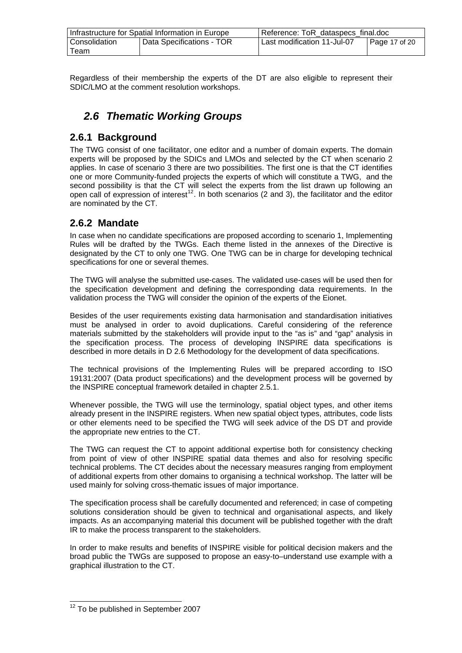<span id="page-16-0"></span>

| Infrastructure for Spatial Information in Europe |                           | Reference: ToR_dataspecs_final.doc           |  |
|--------------------------------------------------|---------------------------|----------------------------------------------|--|
| Consolidation                                    | Data Specifications - TOR | Last modification 11-Jul-07<br>Page 17 of 20 |  |
| Team                                             |                           |                                              |  |

Regardless of their membership the experts of the DT are also eligible to represent their SDIC/LMO at the comment resolution workshops.

# *2.6 Thematic Working Groups*

#### **2.6.1 Background**

The TWG consist of one facilitator, one editor and a number of domain experts. The domain experts will be proposed by the SDICs and LMOs and selected by the CT when scenario 2 applies. In case of scenario 3 there are two possibilities. The first one is that the CT identifies one or more Community-funded projects the experts of which will constitute a TWG, and the second possibility is that the CT will select the experts from the list drawn up following an open call of expression of interest<sup>[12](#page-16-0)</sup>. In both scenarios (2 and 3), the facilitator and the editor are nominated by the CT.

### **2.6.2 Mandate**

In case when no candidate specifications are proposed according to scenario 1, Implementing Rules will be drafted by the TWGs. Each theme listed in the annexes of the Directive is designated by the CT to only one TWG. One TWG can be in charge for developing technical specifications for one or several themes.

The TWG will analyse the submitted use-cases. The validated use-cases will be used then for the specification development and defining the corresponding data requirements. In the validation process the TWG will consider the opinion of the experts of the Eionet.

Besides of the user requirements existing data harmonisation and standardisation initiatives must be analysed in order to avoid duplications. Careful considering of the reference materials submitted by the stakeholders will provide input to the "as is" and "gap" analysis in the specification process. The process of developing INSPIRE data specifications is described in more details in D 2.6 Methodology for the development of data specifications.

The technical provisions of the Implementing Rules will be prepared according to ISO 19131:2007 (Data product specifications) and the development process will be governed by the INSPIRE conceptual framework detailed in chapter 2.5.1.

Whenever possible, the TWG will use the terminology, spatial object types, and other items already present in the INSPIRE registers. When new spatial object types, attributes, code lists or other elements need to be specified the TWG will seek advice of the DS DT and provide the appropriate new entries to the CT.

The TWG can request the CT to appoint additional expertise both for consistency checking from point of view of other INSPIRE spatial data themes and also for resolving specific technical problems. The CT decides about the necessary measures ranging from employment of additional experts from other domains to organising a technical workshop. The latter will be used mainly for solving cross-thematic issues of major importance.

The specification process shall be carefully documented and referenced; in case of competing solutions consideration should be given to technical and organisational aspects, and likely impacts. As an accompanying material this document will be published together with the draft IR to make the process transparent to the stakeholders.

In order to make results and benefits of INSPIRE visible for political decision makers and the broad public the TWGs are supposed to propose an easy-to–understand use example with a graphical illustration to the CT.

l

 $12$  To be published in September 2007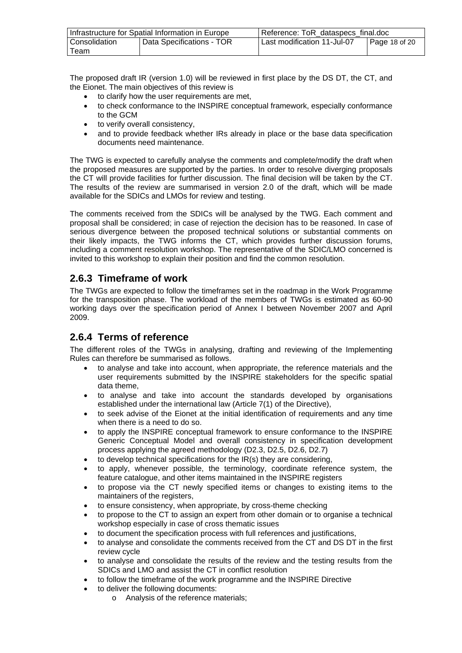<span id="page-17-0"></span>

| Infrastructure for Spatial Information in Europe |                           | Reference: ToR dataspecs final.doc           |  |
|--------------------------------------------------|---------------------------|----------------------------------------------|--|
| Consolidation                                    | Data Specifications - TOR | Last modification 11-Jul-07<br>Page 18 of 20 |  |
| Team                                             |                           |                                              |  |

The proposed draft IR (version 1.0) will be reviewed in first place by the DS DT, the CT, and the Eionet. The main objectives of this review is

- to clarify how the user requirements are met,
- to check conformance to the INSPIRE conceptual framework, especially conformance to the GCM
- to verify overall consistency.
- and to provide feedback whether IRs already in place or the base data specification documents need maintenance.

The TWG is expected to carefully analyse the comments and complete/modify the draft when the proposed measures are supported by the parties. In order to resolve diverging proposals the CT will provide facilities for further discussion. The final decision will be taken by the CT. The results of the review are summarised in version 2.0 of the draft, which will be made available for the SDICs and LMOs for review and testing.

The comments received from the SDICs will be analysed by the TWG. Each comment and proposal shall be considered; in case of rejection the decision has to be reasoned. In case of serious divergence between the proposed technical solutions or substantial comments on their likely impacts, the TWG informs the CT, which provides further discussion forums, including a comment resolution workshop. The representative of the SDIC/LMO concerned is invited to this workshop to explain their position and find the common resolution.

### **2.6.3 Timeframe of work**

The TWGs are expected to follow the timeframes set in the roadmap in the Work Programme for the transposition phase. The workload of the members of TWGs is estimated as 60-90 working days over the specification period of Annex I between November 2007 and April 2009.

### **2.6.4 Terms of reference**

The different roles of the TWGs in analysing, drafting and reviewing of the Implementing Rules can therefore be summarised as follows.

- to analyse and take into account, when appropriate, the reference materials and the user requirements submitted by the INSPIRE stakeholders for the specific spatial data theme,
- to analyse and take into account the standards developed by organisations established under the international law (Article 7(1) of the Directive),
- to seek advise of the Eionet at the initial identification of requirements and any time when there is a need to do so.
- to apply the INSPIRE conceptual framework to ensure conformance to the INSPIRE Generic Conceptual Model and overall consistency in specification development process applying the agreed methodology (D2.3, D2.5, D2.6, D2.7)
- to develop technical specifications for the IR(s) they are considering,
- to apply, whenever possible, the terminology, coordinate reference system, the feature catalogue, and other items maintained in the INSPIRE registers
- to propose via the CT newly specified items or changes to existing items to the maintainers of the registers,
- to ensure consistency, when appropriate, by cross-theme checking
- to propose to the CT to assign an expert from other domain or to organise a technical workshop especially in case of cross thematic issues
- to document the specification process with full references and justifications,
- to analyse and consolidate the comments received from the CT and DS DT in the first review cycle
- to analyse and consolidate the results of the review and the testing results from the SDICs and LMO and assist the CT in conflict resolution
- to follow the timeframe of the work programme and the INSPIRE Directive
- to deliver the following documents:
	- o Analysis of the reference materials;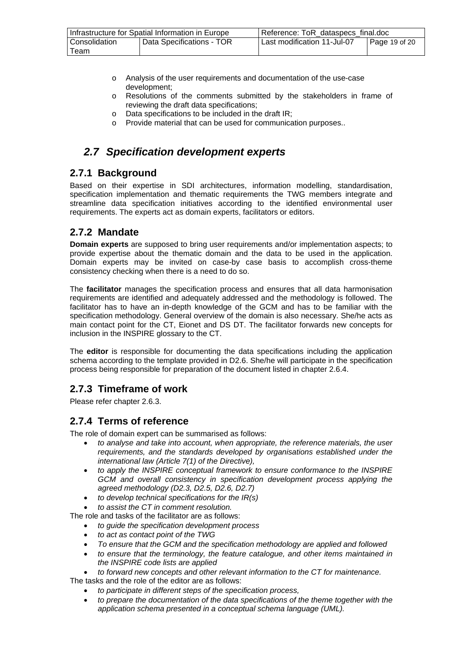<span id="page-18-0"></span>

| Infrastructure for Spatial Information in Europe |                           | Reference: ToR_dataspecs_final.doc           |  |
|--------------------------------------------------|---------------------------|----------------------------------------------|--|
| Consolidation                                    | Data Specifications - TOR | Last modification 11-Jul-07<br>Page 19 of 20 |  |
| Team                                             |                           |                                              |  |

- o Analysis of the user requirements and documentation of the use-case development;
- o Resolutions of the comments submitted by the stakeholders in frame of reviewing the draft data specifications;
- o Data specifications to be included in the draft IR;
- o Provide material that can be used for communication purposes..

## *2.7 Specification development experts*

### **2.7.1 Background**

Based on their expertise in SDI architectures, information modelling, standardisation, specification implementation and thematic requirements the TWG members integrate and streamline data specification initiatives according to the identified environmental user requirements. The experts act as domain experts, facilitators or editors.

### **2.7.2 Mandate**

**Domain experts** are supposed to bring user requirements and/or implementation aspects; to provide expertise about the thematic domain and the data to be used in the application. Domain experts may be invited on case-by case basis to accomplish cross-theme consistency checking when there is a need to do so.

The **facilitator** manages the specification process and ensures that all data harmonisation requirements are identified and adequately addressed and the methodology is followed. The facilitator has to have an in-depth knowledge of the GCM and has to be familiar with the specification methodology. General overview of the domain is also necessary. She/he acts as main contact point for the CT, Eionet and DS DT. The facilitator forwards new concepts for inclusion in the INSPIRE glossary to the CT.

The **editor** is responsible for documenting the data specifications including the application schema according to the template provided in D2.6. She/he will participate in the specification process being responsible for preparation of the document listed in chapter 2.6.4.

## **2.7.3 Timeframe of work**

Please refer chapter 2.6.3.

### **2.7.4 Terms of reference**

The role of domain expert can be summarised as follows:

- *to analyse and take into account, when appropriate, the reference materials, the user requirements, and the standards developed by organisations established under the international law (Article 7(1) of the Directive),*
- *to apply the INSPIRE conceptual framework to ensure conformance to the INSPIRE GCM and overall consistency in specification development process applying the agreed methodology (D2.3, D2.5, D2.6, D2.7)*
- *to develop technical specifications for the IR(s)*
- *to assist the CT in comment resolution.*

The role and tasks of the facilitator are as follows:

- *to guide the specification development process*
- *to act as contact point of the TWG*
- *To ensure that the GCM and the specification methodology are applied and followed*
- *to ensure that the terminology, the feature catalogue, and other items maintained in the INSPIRE code lists are applied*
- *to forward new concepts and other relevant information to the CT for maintenance.*
- The tasks and the role of the editor are as follows:
	- *to participate in different steps of the specification process,*
	- *to prepare the documentation of the data specifications of the theme together with the application schema presented in a conceptual schema language (UML).*